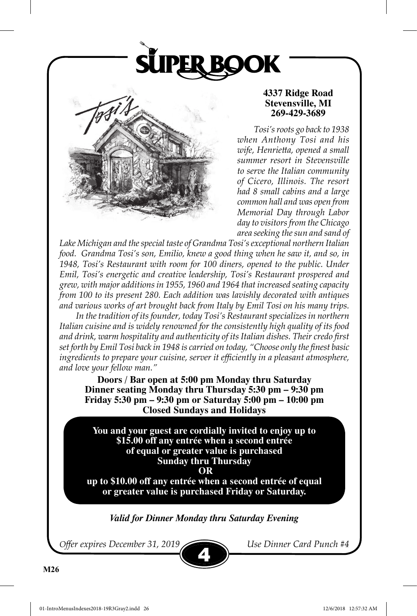



### **4337 Ridge Road Stevensville, MI 269-429-3689**

*Tosi's roots go back to 1938 when Anthony Tosi and his wife, Henrietta, opened a small summer resort in Stevensville to serve the Italian community of Cicero, Illinois. The resort had 8 small cabins and a large common hall and was open from Memorial Day through Labor day to visitors from the Chicago area seeking the sun and sand of* 

*Lake Michigan and the special taste of Grandma Tosi's exceptional northern Italian food. Grandma Tosi's son, Emilio, knew a good thing when he saw it, and so, in 1948, Tosi's Restaurant with room for 100 diners, opened to the public. Under Emil, Tosi's energetic and creative leadership, Tosi's Restaurant prospered and grew, with major additions in 1955, 1960 and 1964 that increased seating capacity from 100 to its present 280. Each addition was lavishly decorated with antiques and various works of art brought back from Italy by Emil Tosi on his many trips.*

*In the tradition of its founder, today Tosi's Restaurant specializes in northern Italian cuisine and is widely renowned for the consistently high quality of its food and drink, warm hospitality and authenticity of its Italian dishes. Their credo first set forth by Emil Tosi back in 1948 is carried on today, "Choose only the finest basic ingredients to prepare your cuisine, server it efficiently in a pleasant atmosphere, and love your fellow man."*

**Doors / Bar open at 5:00 pm Monday thru Saturday Dinner seating Monday thru Thursday 5:30 pm – 9:30 pm Friday 5:30 pm – 9:30 pm or Saturday 5:00 pm – 10:00 pm Closed Sundays and Holidays**

**You and your guest are cordially invited to enjoy up to \$15.00 off any entrée when a second entrée of equal or greater value is purchased Sunday thru Thursday OR up to \$10.00 off any entrée when a second entrée of equal** 

**or greater value is purchased Friday or Saturday.**

*Valid for Dinner Monday thru Saturday Evening*

4

*Offer expires December 31, 2019 Use Dinner Card Punch #4*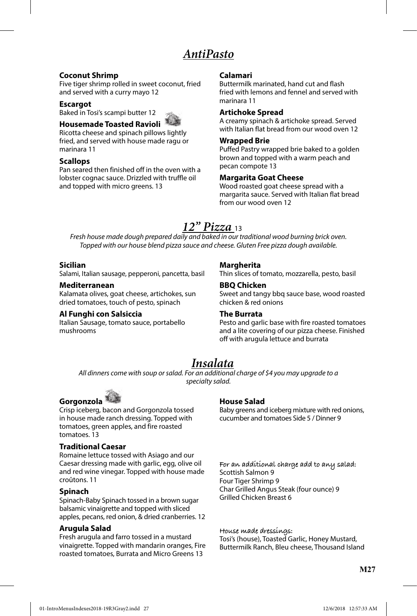## *AntiPasto*

#### **Coconut Shrimp**

Five tiger shrimp rolled in sweet coconut, fried and served with a curry mayo 12

#### **Escargot**

Baked in Tosi's scampi butter 12

### **Housemade Toasted Ravioli**

Ricotta cheese and spinach pillows lightly fried, and served with house made ragu or marinara 11

#### **Scallops**

Pan seared then finished off in the oven with a lobster cognac sauce. Drizzled with truffle oil and topped with micro greens. 13

#### **Calamari**

Buttermilk marinated, hand cut and flash fried with lemons and fennel and served with marinara 11

#### **Artichoke Spread**

A creamy spinach & artichoke spread. Served with Italian flat bread from our wood oven 12

#### **Wrapped Brie**

Puffed Pastry wrapped brie baked to a golden brown and topped with a warm peach and pecan compote 13

#### **Margarita Goat Cheese**

Wood roasted goat cheese spread with a margarita sauce. Served with Italian flat bread from our wood oven 12

## *12" Pizza* <sup>13</sup>

*Fresh house made dough prepared daily and baked in our traditional wood burning brick oven. Topped with our house blend pizza sauce and cheese. Gluten Free pizza dough available.*

#### **Sicilian**

Salami, Italian sausage, pepperoni, pancetta, basil

#### **Mediterranean**

Kalamata olives, goat cheese, artichokes, sun dried tomatoes, touch of pesto, spinach

#### **Al Funghi con Salsiccia**

Italian Sausage, tomato sauce, portabello mushrooms

#### **Margherita**

Thin slices of tomato, mozzarella, pesto, basil

#### **BBQ Chicken**

Sweet and tangy bbq sauce base, wood roasted chicken & red onions

#### **The Burrata**

Pesto and garlic base with fire roasted tomatoes and a lite covering of our pizza cheese. Finished off with arugula lettuce and burrata

## *Insalata*

*All dinners come with soup or salad. For an additional charge of \$4 you may upgrade to a specialty salad.*



Crisp iceberg, bacon and Gorgonzola tossed in house made ranch dressing. Topped with tomatoes, green apples, and fire roasted tomatoes. 13

#### **Traditional Caesar**

Romaine lettuce tossed with Asiago and our Caesar dressing made with garlic, egg, olive oil and red wine vinegar. Topped with house made croûtons. 11

#### **Spinach**

Spinach-Baby Spinach tossed in a brown sugar balsamic vinaigrette and topped with sliced apples, pecans, red onion, & dried cranberries. 12

#### **Arugula Salad**

Fresh arugula and farro tossed in a mustard vinaigrette. Topped with mandarin oranges, Fire roasted tomatoes, Burrata and Micro Greens 13

#### **House Salad**

Baby greens and iceberg mixture with red onions, cucumber and tomatoes Side 5 / Dinner 9

**For an additional charge add to any salad:**  Scottish Salmon 9 Four Tiger Shrimp 9 Char Grilled Angus Steak (four ounce) 9 Grilled Chicken Breast 6

**House made dressings:** Tosi's (house), Toasted Garlic, Honey Mustard, Buttermilk Ranch, Bleu cheese, Thousand Island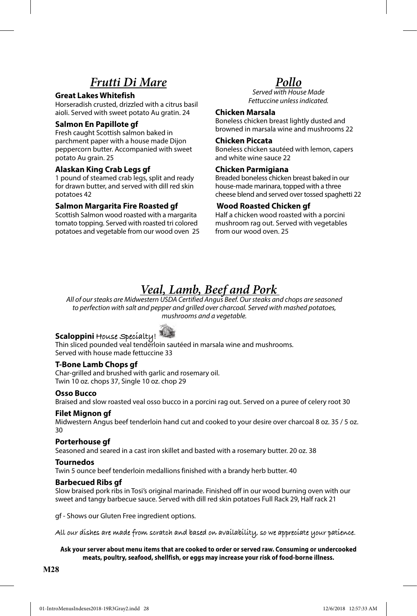## *Frutti Di Mare*

#### **Great Lakes Whitefish**

Horseradish crusted, drizzled with a citrus basil aioli. Served with sweet potato Au gratin. 24

#### **Salmon En Papillote gf**

Fresh caught Scottish salmon baked in parchment paper with a house made Dijon peppercorn butter. Accompanied with sweet potato Au grain. 25

#### **Alaskan King Crab Legs gf**

1 pound of steamed crab legs, split and ready for drawn butter, and served with dill red skin potatoes 42

#### **Salmon Margarita Fire Roasted gf**

Scottish Salmon wood roasted with a margarita tomato topping. Served with roasted tri colored potatoes and vegetable from our wood oven 25

## *Pollo*

*Served with House Made Fettuccine unless indicated.* 

#### **Chicken Marsala**

Boneless chicken breast lightly dusted and browned in marsala wine and mushrooms 22

#### **Chicken Piccata**

Boneless chicken sautéed with lemon, capers and white wine sauce 22

#### **Chicken Parmigiana**

Breaded boneless chicken breast baked in our house-made marinara, topped with a three cheese blend and served over tossed spaghetti 22

#### **Wood Roasted Chicken gf**

Half a chicken wood roasted with a porcini mushroom rag out. Served with vegetables from our wood oven. 25

# *Veal, Lamb, Beef and Pork All of our steaks are Midwestern USDA Certified Angus Beef. Our steaks and chops are seasoned*

*to perfection with salt and pepper and grilled over charcoal. Served with mashed potatoes, mushrooms and a vegetable.*

**Scaloppini House Specialty! The Superset pounded veal tenders of Scalopin Scalopin**<br>Thin sliced pounded veal tenderloin sautéed in marsala wine and mushrooms. Served with house made fettuccine 33

#### **T-Bone Lamb Chops gf**

Char-grilled and brushed with garlic and rosemary oil. Twin 10 oz. chops 37, Single 10 oz. chop 29

#### **Osso Bucco**

Braised and slow roasted veal osso bucco in a porcini rag out. Served on a puree of celery root 30

#### **Filet Mignon gf**

Midwestern Angus beef tenderloin hand cut and cooked to your desire over charcoal 8 oz. 35 / 5 oz. 30

#### **Porterhouse gf**

Seasoned and seared in a cast iron skillet and basted with a rosemary butter. 20 oz. 38

#### **Tournedos**

Twin 5 ounce beef tenderloin medallions finished with a brandy herb butter. 40

#### **Barbecued Ribs gf**

Slow braised pork ribs in Tosi's original marinade. Finished off in our wood burning oven with our sweet and tangy barbecue sauce. Served with dill red skin potatoes Full Rack 29, Half rack 21

gf - Shows our Gluten Free ingredient options.

**All our dishes are made from scratch and based on availability, so we appreciate your patience.**

#### **Ask your server about menu items that are cooked to order or served raw. Consuming or undercooked meats, poultry, seafood, shellfish, or eggs may increase your risk of food-borne illness.**

**M28**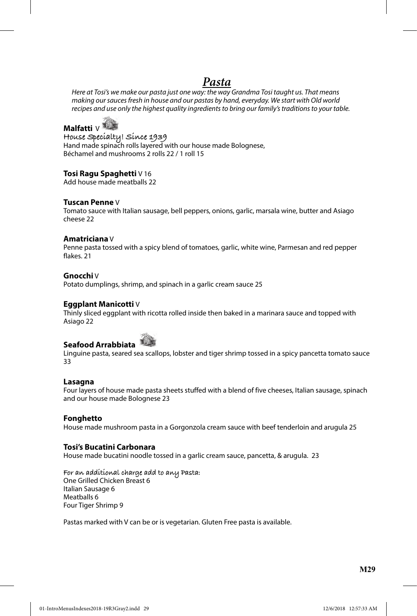## *Pasta*

*Here at Tosi's we make our pasta just one way: the way Grandma Tosi taught us. That means making our sauces fresh in house and our pastas by hand, everyday. We start with Old world recipes and use only the highest quality ingredients to bring our family's traditions to your table.*

**Malfatti** V

**House Specialty! Since 1939**  Hand made spinach rolls layered with our house made Bolognese, Béchamel and mushrooms 2 rolls 22 / 1 roll 15

#### **Tosi Ragu Spaghetti** V 16

Add house made meatballs 22

#### **Tuscan Penne** V

Tomato sauce with Italian sausage, bell peppers, onions, garlic, marsala wine, butter and Asiago cheese 22

#### **Amatriciana** V

Penne pasta tossed with a spicy blend of tomatoes, garlic, white wine, Parmesan and red pepper flakes. 21

#### **Gnocchi** V

Potato dumplings, shrimp, and spinach in a garlic cream sauce 25

#### **Eggplant Manicotti** V

Thinly sliced eggplant with ricotta rolled inside then baked in a marinara sauce and topped with Asiago 22



Linguine pasta, seared sea scallops, lobster and tiger shrimp tossed in a spicy pancetta tomato sauce 33

#### **Lasagna**

Four layers of house made pasta sheets stuffed with a blend of five cheeses, Italian sausage, spinach and our house made Bolognese 23

#### **Fonghetto**

House made mushroom pasta in a Gorgonzola cream sauce with beef tenderloin and arugula 25

#### **Tosi's Bucatini Carbonara**

House made bucatini noodle tossed in a garlic cream sauce, pancetta, & arugula. 23

**For an additional charge add to any Pasta:**  One Grilled Chicken Breast 6 Italian Sausage 6 Meatballs 6 Four Tiger Shrimp 9

Pastas marked with V can be or is vegetarian. Gluten Free pasta is available.